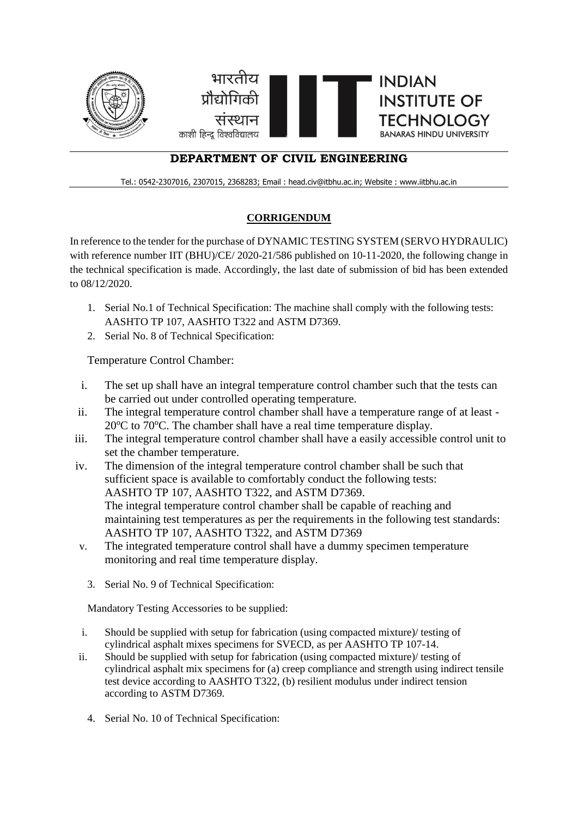

## **DEPARTMENT OF CIVIL ENGINEERING**

Tel.: 0542-2307016, 2307015, 2368283; Email : head.civ@itbhu.ac.in; Website : www.iitbhu.ac.in

## **CORRIGENDUM**

In reference to the tender for the purchase of DYNAMIC TESTING SYSTEM (SERVO HYDRAULIC) with reference number IIT (BHU)/CE/ 2020-21/586 published on 10-11-2020, the following change in the technical specification is made. Accordingly, the last date of submission of bid has been extended to 08/12/2020.

- 1. Serial No.1 of Technical Specification: The machine shall comply with the following tests: AASHTO TP 107, AASHTO T322 and ASTM D7369.
- 2. Serial No. 8 of Technical Specification:

Temperature Control Chamber:

- i. The set up shall have an integral temperature control chamber such that the tests can be carried out under controlled operating temperature.
- ii. The integral temperature control chamber shall have a temperature range of at least  $20^{\circ}$ C to 70 $^{\circ}$ C. The chamber shall have a real time temperature display.
- iii. The integral temperature control chamber shall have a easily accessible control unit to set the chamber temperature.
- iv. The dimension of the integral temperature control chamber shall be such that sufficient space is available to comfortably conduct the following tests: AASHTO TP 107, AASHTO T322, and ASTM D7369. The integral temperature control chamber shall be capable of reaching and maintaining test temperatures as per the requirements in the following test standards: AASHTO TP 107, AASHTO T322, and ASTM D7369
- v. The integrated temperature control shall have a dummy specimen temperature monitoring and real time temperature display.
	- 3. Serial No. 9 of Technical Specification:

Mandatory Testing Accessories to be supplied:

- i. Should be supplied with setup for fabrication (using compacted mixture)/ testing of cylindrical asphalt mixes specimens for SVECD, as per AASHTO TP 107-14.
- ii. Should be supplied with setup for fabrication (using compacted mixture)/ testing of cylindrical asphalt mix specimens for (a) creep compliance and strength using indirect tensile test device according to AASHTO T322, (b) resilient modulus under indirect tension according to ASTM D7369.
	- 4. Serial No. 10 of Technical Specification: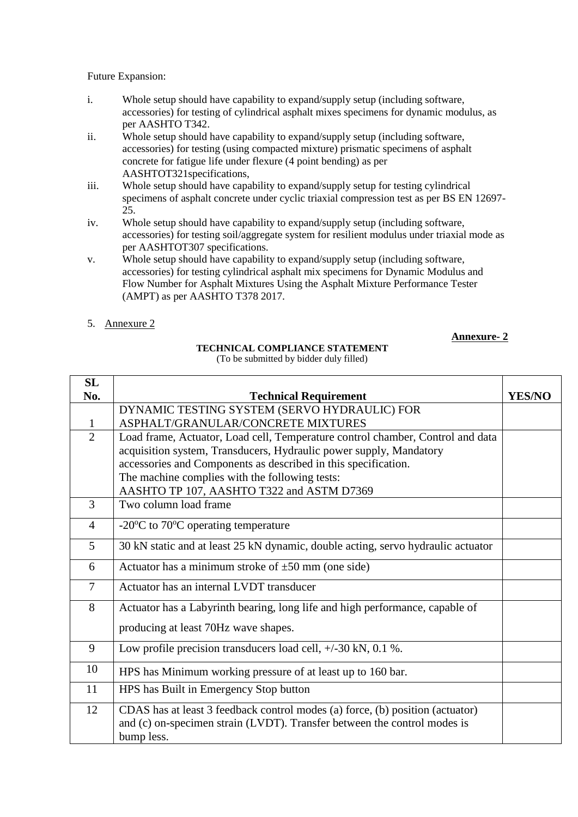Future Expansion:

- i. Whole setup should have capability to expand/supply setup (including software, accessories) for testing of cylindrical asphalt mixes specimens for dynamic modulus, as per AASHTO T342.
- ii. Whole setup should have capability to expand/supply setup (including software, accessories) for testing (using compacted mixture) prismatic specimens of asphalt concrete for fatigue life under flexure (4 point bending) as per AASHTOT321specifications,
- iii. Whole setup should have capability to expand/supply setup for testing cylindrical specimens of asphalt concrete under cyclic triaxial compression test as per BS EN 12697- 25.
- iv. Whole setup should have capability to expand/supply setup (including software, accessories) for testing soil/aggregate system for resilient modulus under triaxial mode as per AASHTOT307 specifications.
- v. Whole setup should have capability to expand/supply setup (including software, accessories) for testing cylindrical asphalt mix specimens for Dynamic Modulus and Flow Number for Asphalt Mixtures Using the Asphalt Mixture Performance Tester (AMPT) as per AASHTO T378 2017.
- 5. Annexure 2

## **Annexure- 2**

## **TECHNICAL COMPLIANCE STATEMENT**

(To be submitted by bidder duly filled)

| SL             |                                                                                  |               |
|----------------|----------------------------------------------------------------------------------|---------------|
| No.            | <b>Technical Requirement</b>                                                     | <b>YES/NO</b> |
|                | DYNAMIC TESTING SYSTEM (SERVO HYDRAULIC) FOR                                     |               |
| 1              | ASPHALT/GRANULAR/CONCRETE MIXTURES                                               |               |
| $\overline{2}$ | Load frame, Actuator, Load cell, Temperature control chamber, Control and data   |               |
|                | acquisition system, Transducers, Hydraulic power supply, Mandatory               |               |
|                | accessories and Components as described in this specification.                   |               |
|                | The machine complies with the following tests:                                   |               |
|                | AASHTO TP 107, AASHTO T322 and ASTM D7369                                        |               |
| $\overline{3}$ | Two column load frame                                                            |               |
| $\overline{4}$ | -20 $\rm{^{\circ}C}$ to 70 $\rm{^{\circ}C}$ operating temperature                |               |
| 5              | 30 kN static and at least 25 kN dynamic, double acting, servo hydraulic actuator |               |
| 6              | Actuator has a minimum stroke of $\pm 50$ mm (one side)                          |               |
| $\overline{7}$ | Actuator has an internal LVDT transducer                                         |               |
| 8              | Actuator has a Labyrinth bearing, long life and high performance, capable of     |               |
|                | producing at least 70Hz wave shapes.                                             |               |
| 9              | Low profile precision transducers load cell, $+/-30$ kN, 0.1 %.                  |               |
| 10             | HPS has Minimum working pressure of at least up to 160 bar.                      |               |
| 11             | HPS has Built in Emergency Stop button                                           |               |
| 12             | CDAS has at least 3 feedback control modes (a) force, (b) position (actuator)    |               |
|                | and (c) on-specimen strain (LVDT). Transfer between the control modes is         |               |
|                | bump less.                                                                       |               |